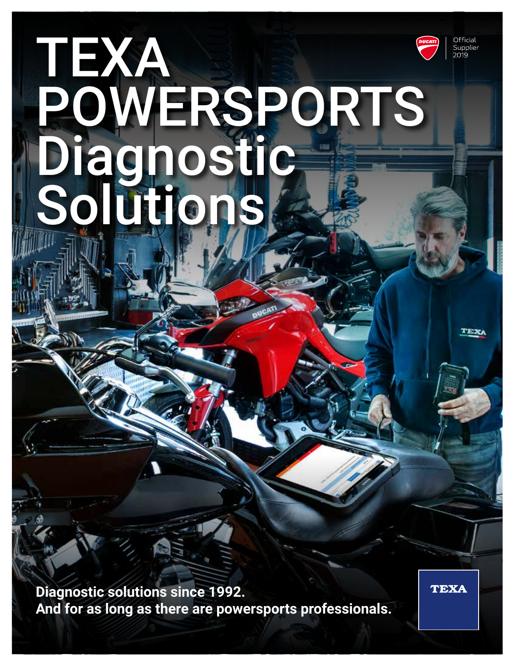

**Diagnostic solutions since 1992. And for as long as there are powersports professionals.** TEXA

TEX/

TEXA S.p.A. Via 1 Maggio, 9

Treviso - ITALY Tel. +39 0422 791311 Fax +39 0422 791300

31050 Monastier di Treviso

ww.texa.com - info.it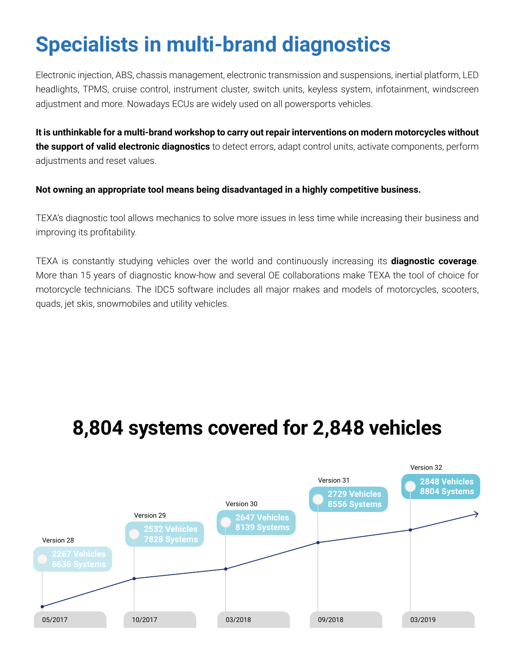# **Specialists in multi-brand diagnostics**

Electronic injection, ABS, chassis management, electronic transmission and suspensions, inertial platform, LED headlights, TPMS, cruise control, instrument cluster, switch units, keyless system, infotainment, windscreen adjustment and more. Nowadays ECUs are widely used on all powersports vehicles.

**It is unthinkable for a multi-brand workshop to carry out repair interventions on modern motorcycles without the support of valid electronic diagnostics** to detect errors, adapt control units, activate components, perform adjustments and reset values.

### **Not owning an appropriate tool means being disadvantaged in a highly competitive business.**

TEXA's diagnostic tool allows mechanics to solve more issues in less time while increasing their business and improving its profitability.

TEXA is constantly studying vehicles over the world and continuously increasing its **diagnostic coverage**. More than 15 years of diagnostic know-how and several OE collaborations make TEXA the tool of choice for motorcycle technicians. The IDC5 software includes all major makes and models of motorcycles, scooters, quads, jet skis, snowmobiles and utility vehicles.

## **8,804 systems covered for 2,848 vehicles**

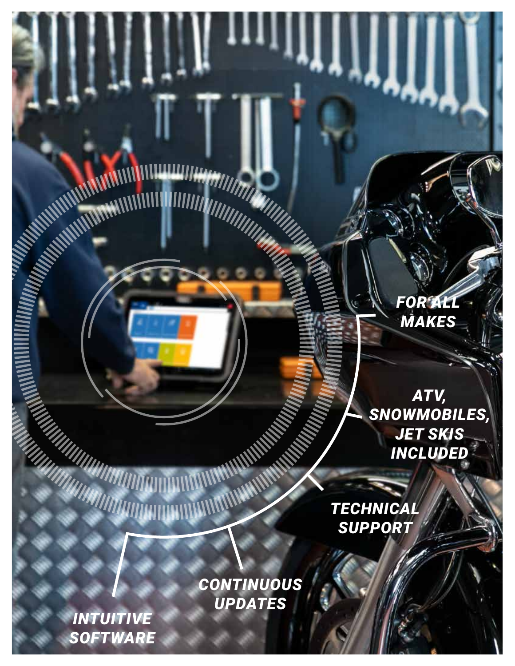*FOR ALL MAKES*

*ATV, SNOWMOBILES, JET SKIS INCLUDED*

*TECHNICAL SUPPORT* 

πT∐

*CONTINUOUS UPDATES*

*INTUITIVE SOFTWARE*

**SERVALUATION**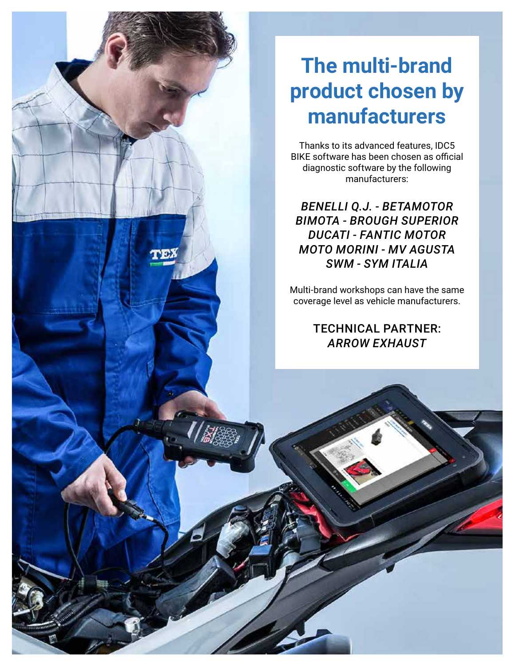## **The multi-brand product chosen by manufacturers**

Thanks to its advanced features, IDC5 BIKE software has been chosen as official diagnostic software by the following manufacturers:

*BENELLI Q.J. - BETAMOTOR BIMOTA - BROUGH SUPERIOR DUCATI - FANTIC MOTOR MOTO MORINI - MV AGUSTA SWM - SYM ITALIA*

Multi-brand workshops can have the same coverage level as vehicle manufacturers.

> TECHNICAL PARTNER: *ARROW EXHAUST*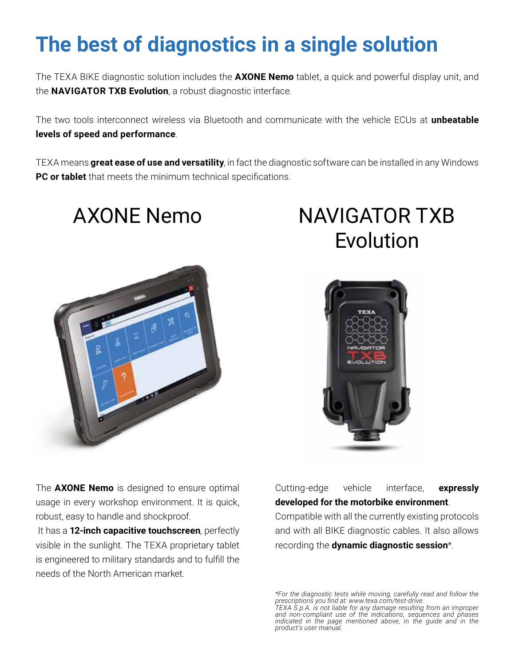# **The best of diagnostics in a single solution**

The TEXA BIKE diagnostic solution includes the **AXONE Nemo** tablet, a quick and powerful display unit, and the **NAVIGATOR TXB Evolution**, a robust diagnostic interface.

The two tools interconnect wireless via Bluetooth and communicate with the vehicle ECUs at **unbeatable levels of speed and performance**.

TEXA means **great ease of use and versatility**, in fact the diagnostic software can be installed in any Windows **PC or tablet** that meets the minimum technical specifications.

## AXONE Nemo



## NAVIGATOR TXB Evolution



The **AXONE Nemo** is designed to ensure optimal usage in every workshop environment. It is quick, robust, easy to handle and shockproof.

 It has a **12-inch capacitive touchscreen**, perfectly visible in the sunlight. The TEXA proprietary tablet is engineered to military standards and to fulfill the needs of the North American market.

Cutting-edge vehicle interface, **expressly developed for the motorbike environment**. Compatible with all the currently existing protocols and with all BIKE diagnostic cables. It also allows recording the **dynamic diagnostic session**\*.

*<sup>\*</sup>For the diagnostic tests while moving, carefully read and follow the prescriptions you find at: www.texa.com/test-drive.* 

*TEXA S.p.A. is not liable for any damage resulting from an improper and non-compliant use of the indications, sequences and phases indicated in the page mentioned above, in the guide and in the product's user manual.*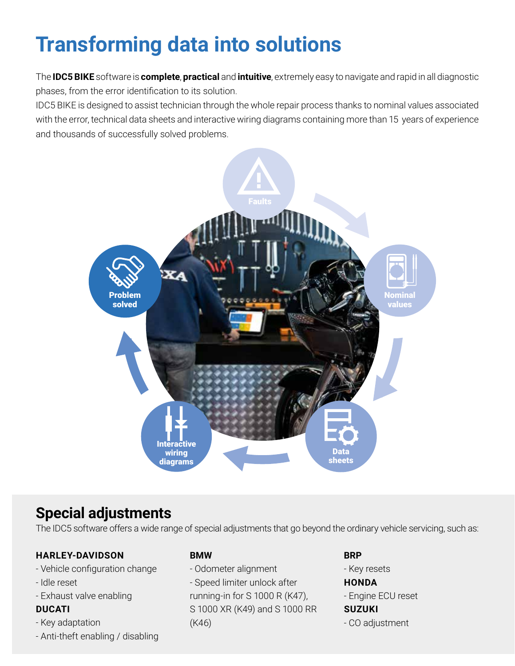# **Transforming data into solutions**

The **IDC5 BIKE** software is **complete**, **practical** and **intuitive**, extremely easy to navigate and rapid in all diagnostic phases, from the error identification to its solution.

IDC5 BIKE is designed to assist technician through the whole repair process thanks to nominal values associated with the error, technical data sheets and interactive wiring diagrams containing more than 15 years of experience and thousands of successfully solved problems.



## **Special adjustments**

The IDC5 software offers a wide range of special adjustments that go beyond the ordinary vehicle servicing, such as:

## **HARLEY-DAVIDSON**

- Vehicle configuration change
- Idle reset
- Exhaust valve enabling

### **DUCATI**

- Key adaptation
- Anti-theft enabling / disabling

## **BMW**

- Odometer alignment
- Speed limiter unlock after running-in for S 1000 R (K47), S 1000 XR (K49) and S 1000 RR (K46)

## **BRP**

- Key resets **HONDA** - Engine ECU reset **SUZUKI**
- CO adjustment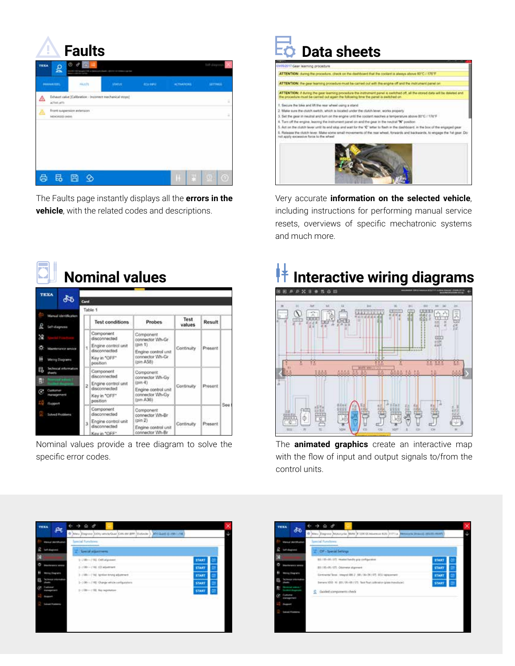| <b>Faults</b> |
|---------------|
|               |

| <b>TEXA</b><br>ደ   | ¢<br>ø.<br><b>INT</b><br><b>CONSULTING INC.</b><br>prop. price | advertising comments and the |                |             |    | Salt dates     |   |
|--------------------|----------------------------------------------------------------|------------------------------|----------------|-------------|----|----------------|---|
| <b>PARANETERL</b>  | akists                                                         | <b>Abuluk</b>                | <b>ACURACI</b> | ACTIVATIONS |    | <b>ALTIMOR</b> |   |
| acterizette        | Edwart value (Califoration - Inconnect Harchanical stops)      |                              |                |             |    |                | × |
| Ä<br>M/WORDER MAIL | Front suggestion extension                                     |                              |                |             |    |                | ä |
|                    |                                                                |                              |                |             |    |                |   |
|                    |                                                                |                              |                |             |    |                |   |
|                    |                                                                |                              |                |             |    |                |   |
|                    |                                                                |                              |                |             |    |                |   |
| 룲                  |                                                                |                              |                | I           | g) | $\boxed{5}$    |   |

The Faults page instantly displays all the **errors in the vehicle**, with the related codes and descriptions.



Nominal values provide a tree diagram to solve the specific error codes.



Very accurate **information on the selected vehicle**, including instructions for performing manual service resets, overviews of specific mechatronic systems and much more.



The **animated graphics** create an interactive map with the flow of input and output signals to/from the control units.

|   | TEXA                        | o                                                                        |    |
|---|-----------------------------|--------------------------------------------------------------------------|----|
|   | A                           | O Mes: Diepose 330ty winderball CAV-AM BPF Dutwole 1. ATV-Queb-B-HBI--TM | J  |
|   | Vienus' Hertification       | <b>Sawried Funetions</b>                                                 |    |
|   | Lif daysest                 | 2. Тонги идистент                                                        |    |
| N |                             | START<br>1-100-110. Othalpaset                                           | c. |
| ۰ | <b>Seriesway</b> APPER      | E-7181-116 00 attempts<br>START                                          | œ  |
| ш | <b>Book (Separate</b>       | 1-158-1798 Sprintership adjustment<br><b>START</b>                       | τ  |
| 跽 | <b>Williams Information</b> | 1-100 - 1101 Charge vehicle configurations<br>START                      | œ  |
|   |                             | 1-108--- 1551 Rey registerion<br><b>START</b>                            | œ  |
|   |                             | Provided a firm the company process<br><b>Executive Control</b>          |    |
|   | and the party               |                                                                          |    |
|   |                             |                                                                          |    |
|   |                             |                                                                          |    |
|   |                             |                                                                          |    |
|   |                             |                                                                          |    |

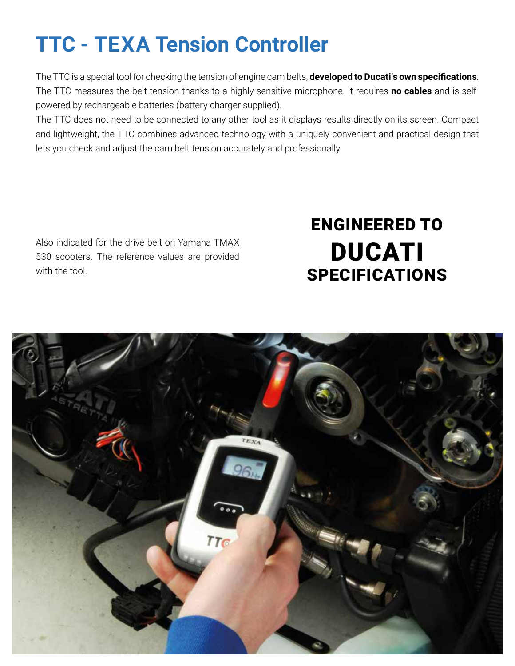# **TTC - TEXA Tension Controller**

The TTC is a special tool for checking the tension of engine cam belts, **developed to Ducati's own specifications**. The TTC measures the belt tension thanks to a highly sensitive microphone. It requires **no cables** and is selfpowered by rechargeable batteries (battery charger supplied).

The TTC does not need to be connected to any other tool as it displays results directly on its screen. Compact and lightweight, the TTC combines advanced technology with a uniquely convenient and practical design that lets you check and adjust the cam belt tension accurately and professionally.

Also indicated for the drive belt on Yamaha TMAX 530 scooters. The reference values are provided with the tool.

## ENGINEERED TO DUCATI SPECIFICATIONS

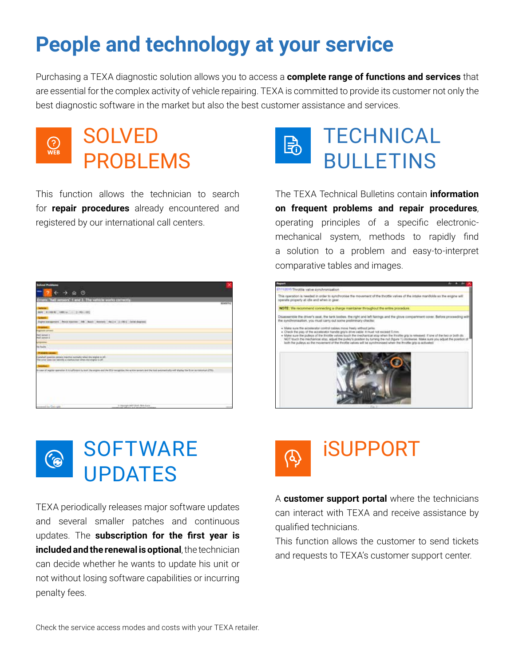# **People and technology at your service**

Purchasing a TEXA diagnostic solution allows you to access a **complete range of functions and services** that are essential for the complex activity of vehicle repairing. TEXA is committed to provide its customer not only the best diagnostic software in the market but also the best customer assistance and services.



This function allows the technician to search for **repair procedures** already encountered and registered by our international call centers.

| . ෧ ඁ                                                                                             |                    |
|---------------------------------------------------------------------------------------------------|--------------------|
| Errors: "hall sensors" I and 2. The variatie works correctly.                                     |                    |
| the Pita and the contract for the                                                                 | <b>Mikely</b> Fy 1 |
|                                                                                                   |                    |
|                                                                                                   |                    |
|                                                                                                   |                    |
|                                                                                                   |                    |
| an proud-                                                                                         |                    |
| <b>Main restruct in</b><br><b>Mail associat E</b>                                                 |                    |
|                                                                                                   |                    |
| <b>Inc. Fourths</b>                                                                               |                    |
|                                                                                                   |                    |
| in person insulton normally what the wayne<br>$-100$<br>The at antigrar belt maker teachers and a |                    |
|                                                                                                   |                    |
|                                                                                                   |                    |
|                                                                                                   |                    |
|                                                                                                   |                    |
|                                                                                                   |                    |
|                                                                                                   |                    |
|                                                                                                   |                    |
|                                                                                                   |                    |
| 1 Here's Hill (Ed. No. La.)<br>ad by Dairyan                                                      |                    |



TEXA periodically releases major software updates and several smaller patches and continuous updates. The **subscription for the first year is included and the renewal is optional**, the technician can decide whether he wants to update his unit or not without losing software capabilities or incurring penalty fees.



The TEXA Technical Bulletins contain **information on frequent problems and repair procedures**, operating principles of a specific electronicmechanical system, methods to rapidly find a solution to a problem and easy-to-interpret comparative tables and images.





iSUPPORT

A **customer support portal** where the technicians can interact with TEXA and receive assistance by qualified technicians.

This function allows the customer to send tickets and requests to TEXA's customer support center.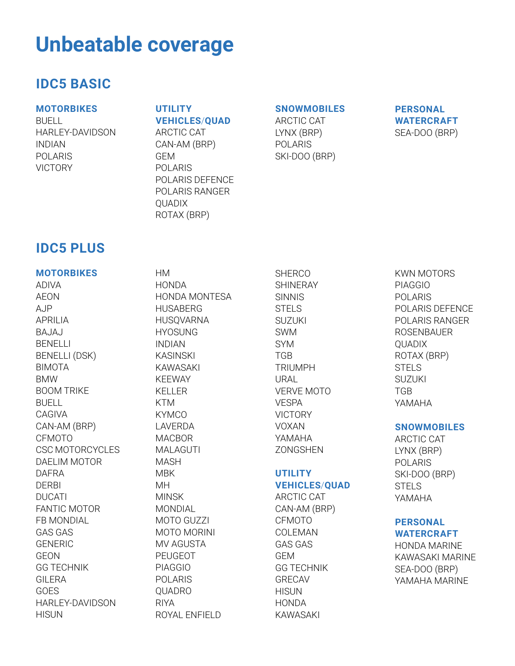## **Unbeatable coverage**

## **IDC5 BASIC**

#### **MOTORBIKES**

BUELL HARLEY-DAVIDSON INDIAN POLARIS VICTORY

## **UTILITY**

## **VEHICLES**/**QUAD**

ARCTIC CAT CAN-AM (BRP) GEM POLARIS POLARIS DEFENCE POLARIS RANGER QUADIX ROTAX (BRP)

HM

#### **SNOWMOBILES**

ARCTIC CAT LYNX (BRP) POLARIS SKI-DOO (BRP)

### **PERSONAL WATERCRAFT** SEA-DOO (BRP)

## **IDC5 PLUS**

### **MOTORBIKES**

ADIVA AEON A.JP APRILIA BAJAJ BENELLI BENELLI (DSK) BIMOTA BMW BOOM TRIKE **BUFLL** CAGIVA CAN-AM (BRP) **CEMOTO** CSC MOTORCYCLES DAELIM MOTOR DAFRA **DERBI** DUCATI FANTIC MOTOR FB MONDIAL GAS GAS GENERIC GEON GG TECHNIK GILERA GOES HARLEY-DAVIDSON **HISUN** 

HONDA HONDA MONTESA HUSABERG **HUSOVARNA** HYOSUNG INDIAN KASINSKI KAWASAKI KEEWAY KELLER **KTM** KYMCO LAVERDA MACBOR MALAGUTI **MASH MBK** MH MINSK MONDIAL MOTO GUZZI MOTO MORINI MV AGUSTA PEUGEOT PIAGGIO POLARIS QUADRO RIYA ROYAL ENFIELD

**SHERCO SHINFRAY** SINNIS STELS SUZUKI SWM SYM TGB TRIUMPH URAL VERVE MOTO VESPA VICTORY VOXAN YAMAHA **ZONGSHEN** 

### **UTILITY VEHICLES**/**QUAD**

ARCTIC CAT CAN-AM (BRP) CFMOTO COLEMAN GAS GAS GEM GG TECHNIK GRECAV **HISUN** HONDA KAWASAKI

KWN MOTORS PIAGGIO POLARIS POLARIS DEFENCE POLARIS RANGER ROSENBAUER **OUADIX** ROTAX (BRP) **STELS** SUZUKI TGB YAMAHA

### **SNOWMOBILES**

ARCTIC CAT LYNX (BRP) POLARIS SKI-DOO (BRP) **STELS** YAMAHA

### **PERSONAL WATERCRAFT**

HONDA MARINE KAWASAKI MARINE SEA-DOO (BRP) YAMAHA MARINE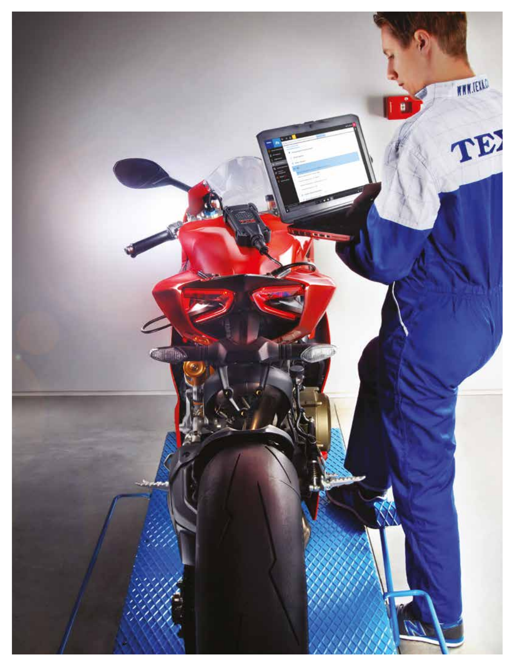